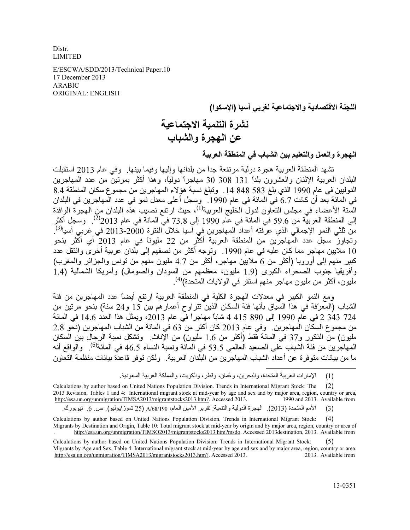Distr. **LIMITED** 

E/ESCWA/SDD/2013/Technical Paper.10 17 December 2013 **ARABIC ORIGINAL: ENGLISH** 

اللجنة الاقتصادية والاجتماعية لغريي آسيا (الاسكوا)

## نشرة التنمية الاجتماعية عن المهجرة والشباب

الهجرة والعمل والتعليم بين الشباب في المنطقة العريبة

تشهد المنطقة العربية هجرة دولية مرتفعة جداً من بلدانها وإليها وفيما بينها. وفي عام 2013 استقبلت البلدان العربية الإثنان والعشرون بلداً 131 308 30 مهاجراً دولياً، وهذا أكثر بمرتينٌ من عدد المهاجرين الدوليين في عام 1990 الذي بلغ 583 848 14. وتبلغ نسبة هؤلاء المهاجرين من مجموع سكان المنطقة 8.4 في المائة بعد أن كانت 6.7 في المائة في عام 1990. ۖ وسجل أعلى معدل نمو في عدد المهاجرين في البلدان السَّنة الأعضاء في مجلس التعَّاون لدول الخليج العربية<sup>(1)</sup>، حيث ارتفع نصيب هذّه البلدان من الهجرة الوافدة إلى المنطقة العربيّة من 59.6 في المائة في عام 1990 إلى 73.8 في المائة في عام 2013<sup>(2)</sup>. وسجل أكثر من ثلثي النمو الإجمالي الذي عرّفته أعداد ّالمهاجرين في آسيا خلال الفترة 2000-2013 في غربي آسيا<sup>(3)</sup>. وتجاوز سجل عدد المهاجرين من المنطقة العربية أكثر من 22 مليوناً في عام 2013 أي أكثر بنحو 10 ملايين مهاجر مما كان عليه في عام 1990. وتوجه أكثر من نصفهم إلى بلدان عربية أخرى وانتقل عدد كبير منهم إلى أوروبا (أكثر من 6 ملايين مهاجر، أكثر من 4.7 مليون منهم من تونس والجزائر والمغرب) وَأَفْرَيقِياً جُنُوب الصَّحْرَاء الكبرِّي (1.9 مليون، معظمهم من السودان والصُّومال) وأمريكا الشَّمالية (1.4 مليون، أكثر من مليون مهاجر منهم استقر في الو لايات المتحدة)<sup>(4)</sup>

ومع النمو الكبير في معدلات الهجرة الكلية في المنطقة العربية ارتفع أيضاً عدد المهاجرين من فئة الشباب (المعرّفة في هذا السّياق بأنها فئة السكان الذين تتراوح أعمار هم بين 15 و24 سنة) بنحو مرتين من 2 343 343 في عام 1990 إلى 890 4 415 شاباً مهاجراً في عام 2013، ويمثِّل هذا العدد 14.6 في المائة من مجموع السكّان المهاجرين. وفي عام 2013 كان أكثر من 63 في المائة من الشباب المهاجرين (نحّو 2.8 مليون) من الذكور و37 في المائة فقط (أكثر من 1.6 مليون) من الإناث. وتشكل نسبة الرجال بين السكان المهاجرين من فئة الشباب على الصعيد العالمي 53.5 في المائة ونسبة النساء 46.5 في المائة<sup>(5)</sup>. والواقع أنه ما من بيانات متو فر ة عن أعداد الشباب المهاجر بن من البلدان العر بية \_ و لكن تو فر \_قاعدة بيانات منظمة التعاون

الأمم المتحدة (2013). الهجرة الدولية والتنمية: تقرير الأمين العام، A/68/190 (25 تموز/يوليو). ص. 6. نيويورك.  $(3)$ 

Calculations by author based on United Nations Population Division. Trends in International Migrant Stock:  $(4)$ Migrants by Destination and Origin, Table 10: Total migrant stock at mid-year by origin and by major area, region, country or area of http://esa.un.org/unmigration/TIMSO2013/migrantstocks2013.htm?msdo. Accessed 2013destination, 2013. Available from

الإمارات العربية المتحدة، والبحرين، وعُمان، وقطر، والكويت، والمملكة العربية السعودية.  $(1)$ 

Calculations by author based on United Nations Population Division. Trends in International Migrant Stock: The  $(2)$ 2013 Revision, Tables 1 and 4: International migrant stock at mid-year by age and sex and by major area, region, country or area, http://esa.un.org/unmigration/TIMSA2013/migrantstocks2013.htm?. Accessed 2013. 1990 and 2013. Available from

Calculations by author based on United Nations Population Division. Trends in International Migrant Stock: Migrants by Age and Sex, Table 4: International migrant stock at mid-year by age and sex and by major area, region, country or area. http://esa.un.org/unmigration/TIMSA2013/migrantstocks2013.htm?. Accessed 2013. 2013. Available from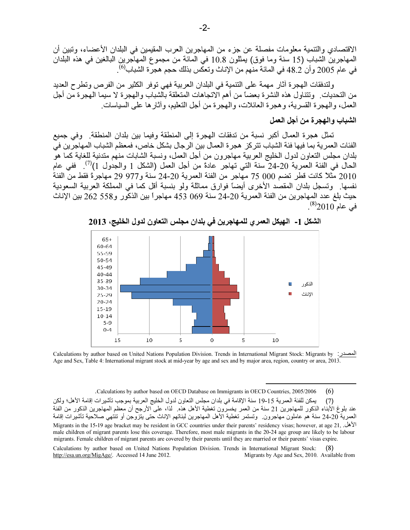الاقتصادي والتنمية معلومات مفصلة عن جزء من المهاجرين العرب المقيمين في البلدان الأعضاء، وتبين أن المهاجرين الشباب (15 سنة وما فوق) يمثلون 10.8 في المائة من مجموع المهاجرين البالغين في هذه البلدان<br>في عام 2005 وأن 48.2 في المائة منهم من الإناث وتعكس بذلك حجم هجرة الشباب<sup>(6)</sup>.

ولتدفقات الهجرة أثار مهمة على التنمية في البلدان العربية فهي توفر الكثير من الفرص وتطرح العديد من التحديات. ۖ وتتناول هذه النشرة بعضاً من أهم الاتجاهات المتعلقة بالشباب والهجرة لا سيما الهجرة من أجل العمل، و الـهجر ة القسر يـة، و هجر ة الـعائلات، و الـهجر ة من أجل التعليم، و آثـار هـا علـي السيـاسـات ِ

## الشباب والهجرة من أجل العمل

تمثل هجر ة العمال أكبر ِ نسبة من تدفقات الهجرة إلى المنطقة وفيما بين بلدان المنطقة. وفي جميع الفئات العمر ية بما فيها فئة الشباب تتركز هجرة العمال بين الرجال بشكل خاص، فمعظم الشباب المهاجر ين في بلدان مجلس التعاون لدول الخليج العربية مهاجرون من أجل العمل، ونسبة الشابات منهم متدنية للغاية كما هو الحال في الفئة العمرية 20-24 سنة التي تهاجر عادةً من أجل العمل (الشكل 1 والجدول 1)<sup>(7)</sup>. ففي عام 2010 مثلاً كانت قطر نضم 000 75 مهاجر من الفئة العمرية 20-24 سنة و977 29 مهاجرةً فقط من الفئة نفسها. وتسجل بلدان المقصد الأخرى أيضاً فوارق مماثلة ولو بنسبة أقل كما في المملكة العربية السعودية حيث بلغ عدد المهاجرين من الفئة العمرية 20-24 سنة 069 453 مهاجراً بين الذكّور و558 262 بين الإناث في عام 2010<sup>(8)</sup>.



الشكل 1- الهيكل العمري للمهاجرين في بلدان مجلس التعاون لدول الخليج، 2013

Calculations by author based on United Nations Population Division. Trends in International Migrant Stock: Migrants by Age and Sex, Table 4: International migrant stock at mid-year by age and sex and by major area, region, country or area, 2013.

 $(6)$ Calculations by author based on OECD Database on Immigrants in OECD Countries, 2005/2006.

يمكن للفئة العمرية 15-19 سنة الإقامة في بلدان مجلس التعاون لدول الخليج العربية بموجب تأشيرات إقامة الأهل؛ ولكن  $(7)$ عند بلوغ الأبناء الذكور للمهاجرين 21 سنة من العمر يخسرون تغطية الأهل هذه. لذا، على الأرجح أن معظم المهاجرين الذكور من الفنة العمرية 20-24 سنة هم عاملون مهاجرون. وتستمر تغطية الأهل المهاجرين لبناتهم الإناث حتى يتزوجن أو تنتهي صلاحية تأشيرات إقامة Migrants in the 15-19 age bracket may be resident in GCC countries under their parents' residency visas; however, at age 21, male children of migrant parents lose this coverage. Therefore, most male migrants in the 20-24 age group are likely to be labour migrants. Female children of migrant parents are covered by their parents until they are married or their parents' visas expire.

Calculations by author based on United Nations Population Division. Trends in International Migrant Stock: http://esa.un.org/MigAge/. Accessed 14 June 2012. Migrants by Age and Sex, 2010. Available from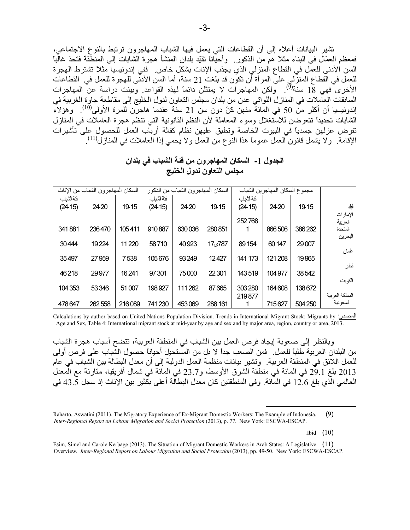تشير البيانات أعلاه إلى أن القطاعات التي يعمل فيها الشباب المهاجرون ترتبط بالنوع الاجتماعي، فمعظم العمّال في البناء مثلاً هم من الذكور . وأحيّاناً تقيّد بلدان المنشأ هجرة الشابات إلى المنطّقة فتحدّ غالباً السن الأدنى للعمَّل في القطاع المنزلي الذي يجذب الإناث بشكل خاص. ففي إندونيسيا مثلاً تشترط الهجرة للعمل في القطاع المنزلي على المرأة أن تكون قد بلغت 21 سنة، أما السن الأدنى للهجرة للعمل في كالقطاعات<br>الأخرى فهي 18 سنة<sup>(9)</sup>. ولكن المهاجرات لا يمتثلن دائماً لهذه القواعد. وبينت دراسة عن المهاجرات السابقات العاملات في المنازل اللواتي عدن من بلدان مجلس التعاون لدول الخليج إلى مقاطعة جاوة الغربية في إندونيسيا أن أكثر من 50 في المائة منهن كنّ دون سن 21 سنة عندما هاجرّن للمرة الأولى<sup>(10)</sup>. وهؤلاء الشابات تحديداً تتعرضن للاسّتغلال وسوء المعاملة لأن النظم القانونية التي تنظم هجرة العاملات في المنازل تفرض عزلهن جسدياً في البيوت الخاصة وتطبق عليهن نظام كفالة أرباب العمل للحصول على تأشيرات الإقامة ولا يشمل قانون العمل عمومًا هذا النوع من العمل ولا يحمى إذا العاملات في المنازل<sup>(11)</sup>.

الجدول 1- السكان المهاجرون من فئة الشباب في بلدان مجلس التعاون لدول الخليج

|                             | مجموع السكان المهاجرين الشباب |         |           | السكان المهاجرون الشباب من الذكور |         |          | السكان المهاجرون الشباب من الإناث |        |           |  |  |
|-----------------------------|-------------------------------|---------|-----------|-----------------------------------|---------|----------|-----------------------------------|--------|-----------|--|--|
|                             |                               |         | فئة لشبل  |                                   |         | فنة لشبب |                                   |        | فئة لشبل  |  |  |
| الباد                       | 19-15                         | 2420    | $(24-15)$ | 19-15                             | 2420    | (24.15)  | 19-15                             | 2420   | $(24-15)$ |  |  |
| الإمارات                    |                               |         |           |                                   |         |          |                                   |        |           |  |  |
| العربية                     |                               |         | 252768    |                                   |         |          |                                   |        |           |  |  |
| المتحدة                     | 386262                        | 866506  |           | 280851                            | 630036  | 910887   | 105411                            | 236470 | 341881    |  |  |
| البحرين                     |                               |         |           |                                   |         |          |                                   |        |           |  |  |
|                             | 29 007                        | 60 147  | 89 154    | 787ئ1                             | 40923   | 58710    | 11 2 20                           | 19224  | 30444     |  |  |
| عُمان                       |                               |         |           |                                   |         |          |                                   |        |           |  |  |
|                             | 19965                         | 121 208 | 141 173   | 12427                             | 93249   | 105676   | 7538                              | 27959  | 35497     |  |  |
| قطر                         |                               |         |           |                                   |         |          |                                   |        |           |  |  |
|                             | 38542                         | 104977  | 143519    | 22 301                            | 75000   | 97301    | 16241                             | 29977  | 46218     |  |  |
| الكويت                      |                               |         |           |                                   |         |          |                                   |        |           |  |  |
|                             | 138672                        | 164608  | 303 280   | 87665                             | 111 262 | 198927   | 51 007                            | 53346  | 104 353   |  |  |
|                             |                               |         | 219877    |                                   |         |          |                                   |        |           |  |  |
| المملكة العربية<br>السعودية | 504 250                       | 715627  |           | 288 161                           | 453069  | 741 230  | 216089                            | 262558 | 478647    |  |  |

Calculations by author based on United Nations Population Division. Trends in International Migrant Stock: Migrants by : المصدر Age and Sex, Table 4: International migrant stock at mid-year by age and sex and by major area, region, country or area, 2013.

وبالنظر إلى صعوبة إيجاد فرص العمل بين الشباب في المنطقة العربية، تتضح أسباب هجرة الشباب من البلدان العربية طلباً للعمل ِ فمن الصعب جداً لا بل من المستحيل أحياناً حصول الشباب على فرص أولى للعمل اللائق في المنطقة العربية. وتشير بيانات منظمة العمل الدولية إلى أن معدل البطالة بين الشباب في عام 2013 بلغ 29.1 في المائة في منطقة الشرق الأوسط، و23.7 في المائة في شمال أفريقيا، مقارنة مع المعدل العالمي الَّذي بلغ 12.6 في المائة. وفي المنطقتين كان معدل البطالة أعلى بكَثير بين الإناث إذ سجل 43.5 في

.Ibid  $(10)$ 

 $(9)$ Raharto, Aswatini (2011). The Migratory Experience of Ex-Migrant Domestic Workers: The Example of Indonesia. Inter-Regional Report on Labour Migration and Social Protection (2013), p. 77. New York: ESCWA-ESCAP.

Esim, Simel and Carole Kerbage (2013). The Situation of Migrant Domestic Workers in Arab States: A Legislative (11) Overview. Inter-Regional Report on Labour Migration and Social Protection (2013), pp. 49-50. New York: ESCWA-ESCAP.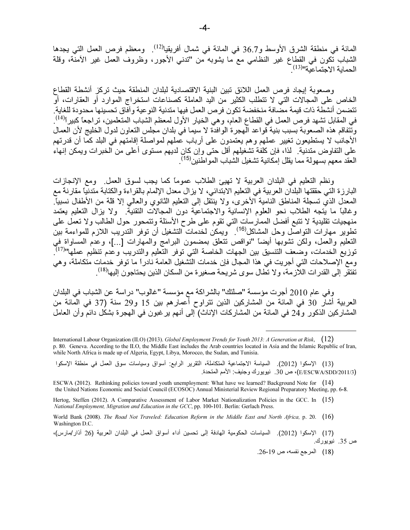المائة في منطقة الشرق الأوسط و36.7 في المائة في شمال أفريقيا<sup>(12)</sup>. ومعظم فرص العمل التي يجدها الشباب تكون في القطاع غير النظامي مع ما يشوبه من "تدني الأجور، وظروف العمل غير الأمنة، وقلة<br>الحماية الاجتماعية"<sup>(13)</sup>

وصعوبة إيجاد فرص العمل اللائق تبين البنية الاقتصادية لبلدان المنطقة حيث تركز أنشطة القطاع الخاص على المجالات التي لا تتطلب الكثير من اليد العاملة كصناعات استخراج الموارد أو العقارات، أو تتضمن أنشطة ذات قيمة مصافة منخفضة تكون فرص العمل فيها متدنية النوعية وآفاق تحسينها محدودة للغاية في المقابل تشهد فرص العمل في القطاع العام، وهي الخيار الأول لمعظم الشباب المتعلمين، تراجعًا كبيراً<sup>(14)</sup>. وتتفاقم هذه الصعوبة بسبب بنية قواعد الهجرة الوافدة لا سيما في بلدان مجلس التعاون لدول الخليج لأن العمال الأجانب لا يستطيعون تغيير عملهم وهم يعتمدون على أرباب عُملهم لمواصلة إقامتهم في البلد كمّا أن قدرتهم على التفاوض متدنية ً لذا، فإن كلفة تشغيلهم أقل حتى وإن كانِ لديهم مستوى أعلى من الخبرات ويمكن إنهاء العقد معهم بسهولة مما يقلل إمكانية تشغيل الشباب المو اطنين<sup>(15)</sup>.

ونظم التعليم في البلدان العربية لا تهيئ الطلاب عمومًا كما يجب لسوق العمل. ومع الإنجازات البارزة التي حققتها البلدان العربية في التعليم الابتدائي، لا يزال معدل الإلمام بالقراءة والكتابة متدنياً مقارنة مع المعدل الذيّ تسجلة المناطّق النامية الأخرى، ولا ينتقل إلى النعليم الثانوي والعالي إلا قلة من الأطفال نسبياً. وغالبًا ما يُنجه الطلاب نحو العلوم الإنسانية والاجتماعية دون المجالات التقنية. ولا يزال التعليم يعتمد منهجيات تقليدية لا نتبع أفضل الممارسات التي تقوم على طرح الأسئلة ونتمحور حول الطالب ولا تعمل على<br>تطوير مهارات التواصل وحل المشاكل<sup>(16)</sup> . ويمكن لخدمات التشغيل أن توفر التدريب اللازم للمواءمة بين التعليم والعمّل، ولكّن تشّوبُها أيضاً "نواقص تتّعلق بمضمون البرامج والمهارات [...]، وعدم المساواة في<br>توزيع الخدمات، وضعف التنسيق بين الجهات الخاصة التي توفر التعليم والتدريب وعدم تنظيم عملها"<sup>(17)</sup>. ومع الإصلاحات التي أجريت في هذا المجال فإن خدمات التشغيل العامة نادرا ما توفر خدمات متكاملة، وهي تفتقُّر ۖ إلى القدر ات اللَّاز مة، و لا تطَّال سو ي شر يحة صغير ة من السكان الذين يحتاجو ن اليها'<sup>(18)</sup> .

وفي عام 2010 أجرت مؤسسة "صلتك" بالشراكة مع مؤسسة "غالوب" دراسة عن الشباب في البلدان العربية أشار 30 في المائة من المشاركين الذين نتراوح أعمارهم بين 15 و29 سنة (37 في المائة من المشاركين الذكور و24 في المائة من المشاركات الإناث) إلى أنهم ير غبون في الهجرة بشكل دائم وأن العامل

(17) الإسكوا (2012). السياسات الحكومية الهادفة إلى تحسين أداء أسواق العمل في البلدان العربية (26 آذار/مارس)، ص 35. نيويورك.

(18) المرجع نفسه، ص 19-26.

International Labour Organization (ILO) (2013). Global Employment Trends for Youth 2013: A Generation at Risk,  $(12)$ p. 80. Geneva. According to the ILO, the Middle East includes the Arab countries located in Asia and the Islamic Republic of Iran, while North Africa is made up of Algeria, Egypt, Libya, Morocco, the Sudan, and Tunisia.

<sup>(13)</sup> الإسكوا (2012). السياسة الاجتماعية المتكاملة، التقرير الرابع: أسواق وسياسات سوق العمل في منطقة الإسكوا (E/ESCWA/SDD/2011/3)، ص 30. نيويورك وجنيف: الأمم المتحدة.

ESCWA (2012). Rethinking policies toward youth unemployment: What have we learned? Background Note for  $(14)$ the United Nations Economic and Social Council (ECOSOC) Annual Ministerial Review Regional Preparatory Meeting, pp. 6-8.

Hertog, Steffen (2012). A Comparative Assessment of Labor Market Nationalization Policies in the GCC. In (15) National Employment, Migration and Education in the GCC, pp. 100-101. Berlin: Gerlach Press.

World Bank (2008). The Road Not Traveled: Education Reform in the Middle East and North Africa, p. 20. (16) Washington D.C.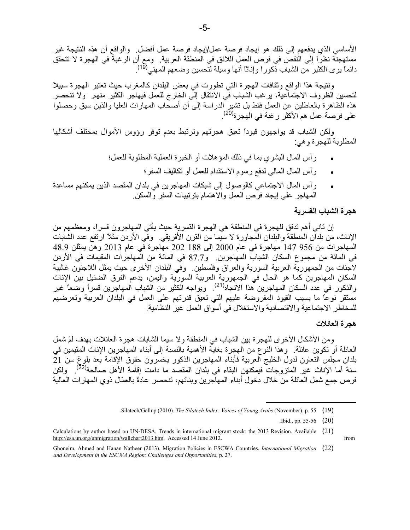الأساسي الذي يدفعهم إلى ذلك هو إيجاد فرصة عمل/إيجاد فرصة عمل أفضل. والواقع أن هذه النتيجة غير مستهجنّة نظرًا إلى النقص في فرص العمل اللائق في المنطقة العربية. ومع أن الرغبة في الهجرة لا تتحقق<br>دائماً يرى الكثير من الشباب ذكوراً وإناثاً أنها وسيلة لتحسين وضعهم المهنى<sup>(19)</sup>.

ونتيجة هذا الواقع وثقافات الهجرة التي تطورت في بعض البلدان كالمغرب حيث تعتبر الهجرة سبيلا لتحسين الظروف الاجتماعية، يرغب الشباب في الانتقال إلى الخارج للعمل فيهاجر الكثير منهم. ولا تنحصر هذه الظاهرة بالعاطلين عن العمل فقط بل نشير الدراسة إلى أن أصحَّاب المهارات العليا والذين سبق وحصلوا على فرصة عمل هم الأكثر رغبة في الهجر ة<sup>(20)</sup>

ولكن الشباب قد يواجهون قيودأ تعيق هجرتهم وترتبط بعدم توفر رؤوس الأموال بمختلف أشكالها المطلوبة للهجرة وهي:

- رِ أس المال البشر ي بما في ذلك المؤ هلات أو الخبر ة العملية المطلوبة للعمل؛
	- رأس المال المالي لدفع رسوم الاستقدام للعمل أو تكاليف السفر؛
- رأس المال الاجتماعي كالوصول إلى شبكات المهاجرين في بلدان المقصد الذين يمكنهم مساعدة المهاجر على إيجاد فرص العمل والاهتمام بتر تبيات السفر والسكن

## هجر ة الشباب القسر ية

إن ثاني أهم تدفق للهجرة في المنطقة هي الهجرة القسرية حيث يأتي المهاجرون قسراً، ومعظمهم من الإناث، من بلدآن المُنطقة والبلدان المُجاورة لا سيما من القرن الأفريقي. ۖ وفِّي الأردن مثلاً ارتفع عدد الشابات المهاجرات من 956 147 مهاجرة في عام 2000 إلى 188 202 مهاجرة في عام 2013 وهنّ يمثّلن 48.9 في المائة من مجموع السكان الشباب المهاجرين. و87.7 في المائة من المهاجرات المقيمات في الأردن لاجنات من الجمهورية العربية السورية والعراق وفلسطين وفي البلدان الأخرى حيث يمثل اللاجئون غالبية السكان المهاجرين كما هو الحال في الجمهورية العربية السورية واليمن، يدعم الفرق الضئيل بين الإناث والذكور في عدد السكان المهاجرين هذا الاتجاه<sup>(21)</sup> ويواجه الكثير من الشباب المهاجرين قسراً وضعاً غير مستقر نوعًا ما بسبب القيود المفروضة عليهم التي تعيق قدرتهم على العمل في البلدان العربية وتعرضهم للمخاطر الاجتماعية والاقتصادية والاستغلال في أسواق العمل غير النظامية

## هجر ة العائلات

from

ومن الأشكال الأخرى للهجرة بين الشباب في المنطقة ولا سيما الشابات هجرة العائلات بهدف لمّ شمل العائلة أو تكوين عائلة. ۖ وهذا النوع من الهجرة بغايَّة الأهمية بالنسبة إلى أبناء المهاجرين الإناث المقيمين في بلدان مجلس التعاون لدول الخليج العربية فأبناء المهاجرين الذكور يخسرون حقوق الإقامة بعد بلوغ سن 21 سنة أما الإناث غير المتزوجات فيمكنهن البقاء في بلدان المقصد ما دامت إقامة الأهل صـالحة<sup>(22)</sup>. ولكن فرص جمع شمل العائلة من خلال دخول أبناء المهاجرين وبناتهم، تنحصر عادةً بالعمّال ذوى المهارات العالية

Silatech/Gallup (2010). The Silatech Index: Voices of Young Arabs (November), p. 55 (19).

Ibid., pp. 55-56 (20)

Calculations by author based on UN-DESA, Trends in international migrant stock: the 2013 Revision. Available (21) http://esa.un.org/unmigration/wallchart2013.htm. Accessed 14 June 2012.

Ghoneim, Ahmed and Hanan Natheer (2013). Migration Policies in ESCWA Countries. International Migration (22) and Development in the ESCWA Region: Challenges and Opportunities, p. 27.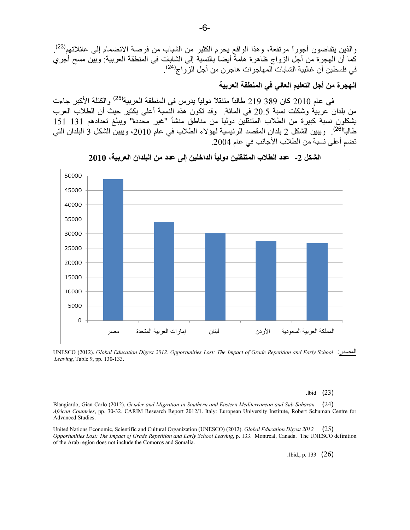والذين يتقاضون أجوراً مرتفعة، وهذا الواقع يحرم الكثير من الشباب من فرصة الانضمام إلى عائلاتهم<sup>(23)</sup>. كما أن المهجرة من أجل الزواج ظاهرة هامة أيضاً بالنسبة إلى الشابات في المنطقة العربية: وبين مسح أجري في فلسطين أن غالبية الشابات المهاجرات هاجرن من أجل الزواج<sup>(24)</sup>. 7

الـهجر ة من أجل التعليم الـعالي في المنطقة الـعربيـة

. في عام 2010 كان 389 219 طالباً متنقلا دولياً يدرس في المنطقة العربية<sup>(25)</sup> والكتلة الأكبر جاءت من بلدان عربية وشكلت نسبة 20.5 في المائة. وقد تكون هذه النّسبة أعلى بكثير حيث أن الطلاب العرب يشكلون نسبة كبيرة من الطلاب المتنقلّين دولياً من مناطق منشأ "غير محددة" ويبلغ تعدادهم 131 151 طالباً<sup>(26)</sup>. ويبين الشكل 2 بلدان المقصد الرئيسية لـهؤلاء الطلاب في عام 2010، ويبين الشكل 3 البلدان التي تضم أعلى نسبة من الطلاب الأجانب في عام 2004.



ا % 2 - -د ا )7ب ا '" دو ً- ا -ا:" إ ; -د (" ا -\$ان ا ، 2010

UNESCO (2012). Global Education Digest 2012. Opportunities Lost: The Impact of Grade Repetition and Early School :أحصدر Leaving, Table 9, pp. 130-133.

.lbid  $(23)$ 

 $\overline{a}$ 

Blangiardo, Gian Carlo (2012). Gender and Migration in Southern and Eastern Mediterranean and Sub-Saharan ( 24) African Countries, pp. 30-32. CARIM Research Report 2012/1. Italy: European University Institute, Robert Schuman Centre for Advanced Studies.

United Nations Economic, Scientific and Cultural Organization (UNESCO) (2012). Global Education Digest 2012. ( 25) Opportunities Lost: The Impact of Grade Repetition and Early School Leaving, p. 133. Montreal, Canada. The UNESCO definition of the Arab region does not include the Comoros and Somalia.

.lbid., p. 133  $(26)$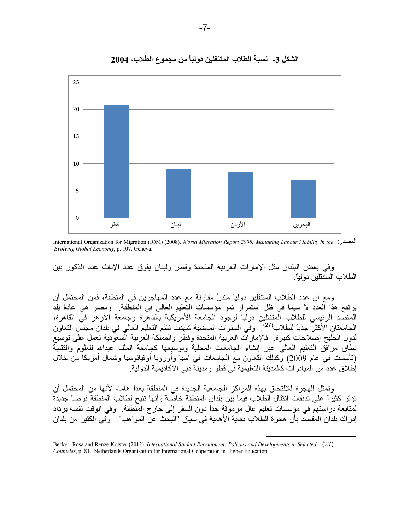

الشكل 3- نسبة الطلاب المتنقلين دولياً من مجموع الطلاب، 2004

International Organization for Migration (IOM) (2008). World Migration Report 2008: Managing Labour Mobility in the Evolving Global Economy, p. 107. Geneva.

وفي بعض البلدان مثل الإمارات العربية المتحدة وقطر ولبنان يفوق عدد الإناث عدد الذكور بين الطلاب المتنقلين دو لياً

ومع أن عدد الطلاب المتنقلين دولياً متدنٍّ مقارنة مع عدد المهاجرين في المنطقة، فمن المحتمل أن يرتفع هذا العدد لا سيما في ظل استمرار نمو مؤسسات التّعليم العالي في المنطّقة. ومصر هي عادةً بلد المقصَّد الرئيسي للطلاب المتنقلين دولياً لوجود الجامعة الأمريكية بالقاهرة وجامعة الأزهر فيَّ القاهرة، الجامعتان الأكثر جذبا للطلاب<sup>(27)</sup>. وفي السنوات الماضية شهدت نظم التعليم العالي في بلدان مجلس التعاون لدول الخليج إصلاحات كبيرة فالإمارات العربية المتحدة وقطر والمملكة العربية السعودية تعمل على توسيع نطاق مرافَّق النعليم العالي عبر إنشاء الجامعات المحلية وتوسيعها كجامعة الملك عبدالله للعلوم والنقنيَّة (تأسست في عام 2009) وكذلك النعاون مع الجامعات في أسيا وأوروبا أوقيانوسيا وشمال أمريكا من خلال إطلاق عدد من المبادر ات كالمدينة التعليمية في قطر ومدينة دبي الأكاديمية الدولية.

وتمثِّل الهجرة للالتحاق بهذه المراكز الجامعية الجديدة في المنطقة بعداً هاماً، لأنها من المحتمل أن تؤثر كثيراً على تدفقات انتقال الطلاب فيما بين بلدان المنطقة خاصة وأنها تتيح لطلاب المنطقة فرصاً جديدة لمتابعة دراستهم في مؤسسات تعليم عال مرموقة جداً دون السفر إلى خارج المنطقة. وفي الوقت نفسه يزداد إدر اك بلدان المقصد بأن هجر ة الطلاب بغاية الأهمية في سياق "البحث عن المو اهب". وفي الكثير من بلدان

Becker, Rosa and Renze Kolster (2012). International Student Recruitment: Policies and Developments in Selected (27) Countries, p. 81. Netherlands Organisation for International Cooperation in Higher Education.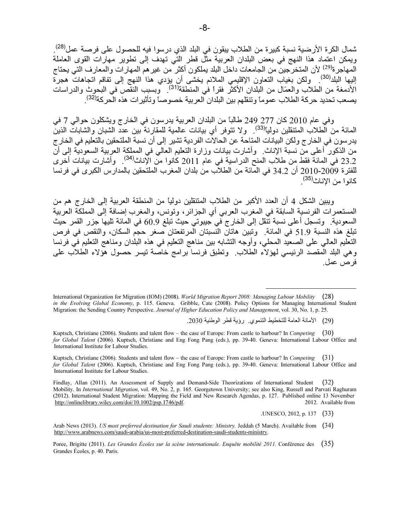شمال الكرة الأرضية نسبة كبيرة من الطلاب يبقون في البلد الذي درسوا فيه للحصول على فرصة عمل<sup>(28)</sup>. ويمكن اعتماد هذا النهج في بعض البلدان العربية مثَّل قطر التِّي تهدف إلى تطوير مهارات القوى العاملة المهاجر ة<sup>(29)</sup> لأن المتخرِّجين من الجامعات داخل البلد يملكون أكثر من غير هم المهار ات و المعار ف التي يحتاج اليها البلد<sup>(30)</sup>. ولكن بغياب النعاون الإقليمي الملائم يخشّى أن يؤدي هذا النهج إلى تفاقم اتجاهات هجرة<br>الأدمغة من الطلاب والعمّال من البلدان الأكثر فقراً في المنطقة<sup>(31)</sup>. وبسبب النقص في البحوث والدراسات يصعب تحديد حركة الطلاب عموماً وتنقلهم بين البلدان العربية خصوصاً وتأثيرات هذه الحركة<sup>(32)</sup>.

وفي عام 2010 كان 277 249 طالباً من البلدان العربية يدرسون في الخارج ويشكلون حوالي 7 في المائة من الّطلاب المتنقلين دوليّا<sup>(33)</sup>. ولا تتوفر أي بيانات عالمية للمقارنة بين عدد الشبان والشابات الذين .<br>يدر سون في الخار ج ولكن البيانات المناحة عن الحالات الفردية تشير إلى أن نسبة الملتحقين بالتعليم في الخار ج من الذكور َّأعلـى منَّ نسبة الإناث. ۖ وأشارت بيانات وزارة النعليم العالمي في المملكة العربية السعوديَّة إلـى أنّ 23.2 في المائة فقط من طلاب المنح الدراسية في عام 2011 كانوا من الإناث<sup>(34)</sup>. وأشارت بيانات أخرى للفترة 2009-2010 أن 34.2 في المائة من الطلاب من بلدان المغرب الملتحقين بالمدارس الكبرى في فرنسا كانوا من الإناث<sup>(35)</sup>.

ويبين الشكل 4 أن العدد الأكبر من الطلاب المتنقلين دولياً من المنطقة العربية إلى الخارج هم من المستعمرات الفرنسية السابقة في المغرب العربي أي الجزائر ، وتونس، والمغرب إضافة إلى المملكة العربية السعودية. وتسجل أعلى نسبة تنّقل إلى الخارج في جيبوتي حيث تبلغ 60.9 في المائة تليها جزر القمر حيث تبلغ هذه النسبة 51.9 في المائة. وتبين هاتان النّسبتان الّمرتفعتان صغر حجم السكان، والنقص في فرص النعليم العالي على الصعيد المحلي، وأوجه النشابه بين مناهج النعليم في هذه البلدان ومناهج النعليم في فرنسا وهي البلد المُقصدُّ الرئيسي لمهوْلاًء الطَّلاب ۚ وتطبق فرنسا برامج خاصَّة نيسر حصول هُوَلاء الطلاب على فر ص عمل

.UNESCO, 2012, p. 137 (33)

International Organization for Migration (IOM) (2008). World Migration Report 2008: Managing Labour Mobility  $(28)$ in the Evolving Global Economy, p. 115. Geneva. Gribble, Cate (2008). Policy Options for Managing International Student Migration: the Sending Country Perspective. Journal of Higher Education Policy and Management, vol. 30, No. 1, p. 25.

<sup>(29)</sup> الأمانة العامة للتخطيط التنموي. رؤية قطر الوطنية 2030.

Kuptsch, Christiane (2006). Students and talent flow – the case of Europe: From castle to harbour? In Competing (30) for Global Talent (2006). Kuptsch, Christiane and Eng Fong Pang (eds.), pp. 39-40. Geneva: International Labour Office and International Institute for Labour Studies.

Kuptsch, Christiane (2006). Students and talent flow – the case of Europe: From castle to harbour? In Competing  $(31)$ for Global Talent (2006). Kuptsch, Christiane and Eng Fong Pang (eds.), pp. 39-40. Geneva: International Labour Office and International Institute for Labour Studies.

Findlay, Allan (2011). An Assessment of Supply and Demand-Side Theorizations of International Student  $(32)$ Mobility. In International Migration, vol. 49, No. 2, p. 165. Georgetown University; see also King, Russell and Parvati Raghuram (2012). International Student Migration: Mapping the Field and New Research Agendas, p. 127. Published online 13 November http://onlinelibrary.wiley.com/doi/10.1002/psp.1746/pdf. 2012. Available from

Arab News (2013). US most preferred destination for Saudi students: Ministry. Jeddah (5 March). Available from (34) http://www.arabnews.com/saudi-arabia/us-most-preferred-destination-saudi-students-ministry.

Poree, Brigitte (2011). Les Grandes Écoles sur la scène internationale. Enquête mobilité 2011. Conférence des (35) Grandes Écoles, p. 40. Paris.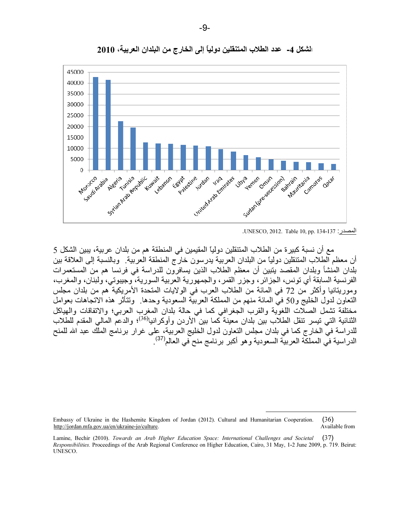

الشكل 4- عدد الطلاب المتنقلين دولياً إلى الخارج من البلدان العربية، 2010 [

.UNESCO, 2012. Table 10, pp. 134-137 :ر.ا

مع أن نسبة كبيرة من الطلاب المتنقلين دولياً المقيمين في المنطقة هم من بلدان عربية، يبين الشكل 5 أن معظم الطلاب المتنقلين دولياً من البلدان العربية يدرسون خارج المنطقة العربية. وبالنسبة إلى العلاقة بين بلدان المُنشأ وبلدان المقصد يتبين أن معظم الطلاب الذين يسافرون للدراسة في فرنسا هم من المستعمرات الفرنسية السابقة أي تونس، الجزائر ، وجزر القمر ، والجمهورية العربية السورية، وجيبوتي، ولبنان، والمغرب، وموريتانيا وأكثر من 72 في المانة من الطلاب العرب في الولايات المتحدة الأمريكية هم من بلدان مجلس النعاون لدول الخليج و50 في المائة منهم من المملكة العربية السعودية وحدها. وتتأثر هذه الاتجاهات بعوامل مختلفة تشمل الصلات اللغوية والقرب الجغرافي كما في حالة بلدان المغرب العربي؛ والاتفاقات والهياكل الثنائية التي تيسر تنقل الطلاب بين بلدان معينة ًكما بين ًالأردن وأوكرانيا<sup>(36)</sup>؛ والدّعمّ المالي المقدم للطّلاب للدراسة في الخارج كما في بلدان مجلس النعاون لدول الخليج العربية، على غرار برنامج الملك عبد الله للمنح الدر اسية في المملكة العربية السعودية و هو أكبر برنامج منح ّفي العالم<sup>(37</sup>).

 $\overline{a}$ 

Embassy of Ukraine in the Hashemite Kingdom of Jordan (2012). Cultural and Humanitarian Cooperation. ( 36) http://jordan.mfa.gov.ua/en/ukraine-jo/culture.

Lamine, Bechir (2010). Towards an Arab Higher Education Space: International Challenges and Societal (37) Responsibilities. Proceedings of the Arab Regional Conference on Higher Education, Cairo, 31 May, 1-2 June 2009, p. 719. Beirut: UNESCO.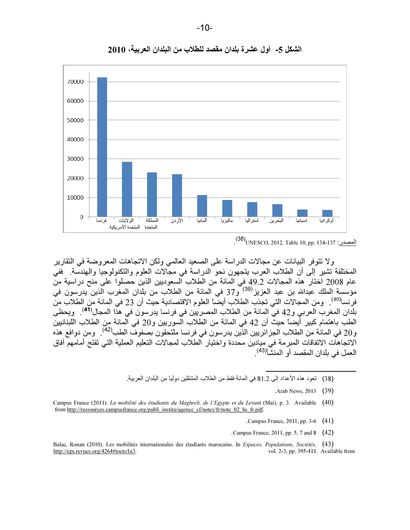

الشكل 5- أول عشرة بلدان مقصد للطلاب من البلدان العربية، 2010

ولا تتوفر البيانات عن مجالات الدراسة على الصعيد العالمي ولكن الاتجاهات المعروضة في التقارير المختلفة تشير إلى أن الطلاب العرب يتجهون نحو الدراسة في مجالات العلوم والتكنولوجيا والهندسة. ففي عام 2008 اختار هذه المجالات 49.2 في المائة من الطلاب السعوديين الذين حصلوا على منح دراسية منّ مؤسسة الملك عبدالله بن عبد العزيز<sup>(39)</sup> و37 في المائة من الطلاب من بلدان المغرب الذين يدرسون في فرنسا<sup>(40)</sup>. ومن المجالات التي تجذب الطلاب أيضًا العلوم الاقتصادية حيث أن 23 في المائة من الطلاب من بلدان المغرب العربي و42 في المائة من الطلاب المصريين في فرنسا يدرسون في هذا المجال<sup>(41)</sup> . ويحظى الطب باهتمام كبير أَيضًا حيثٌ أن 42 في المائة من الطلاب السوريين و20 في المائة من الطلاب اللبنانيين و20 في المائة من الطلاب الجزائريين الذّين يدرسون في فرنسا ملتحقون بصفوف الطب<sup>(42)</sup> . ومن دوافع هذه الاتجاهات الاتفاقات المبرمة في ميادين محددة واختيار الطلاب لمجالات التعليم العملية التي تفتح أمامهم أفاق العمل في بلدان المقصد أو المنشأ<sup>(43)</sup>.

(38) تعود هذه الأعداد إلى 81.2 في المائة فقط من الطلاب المتنقلين دولياً من البلدان العربية.

.Arab News, 2013 ( 39)

- .Campus France, 2011, pp. 3-6 ( 41)
- .Campus France, 2011, pp. 5, 7 and 8 ( 42)

 $\overline{a}$ 

Balac, Ronan (2010). Les mobilités internationales des étudiants marocains. In Espaces, Populations, Sociétés, ( 43) http://eps.revues.org/4264#tocto1n3. vol. 2-3, pp. 395-411. Available from

المصدر : 38)UNESCO, 2012. Table 10, pp. 134-137<mark>.</mark>

Campus France (2011). La mobilité des étudiants du Maghreb, de l'Egypte et du Levant (Mai), p. 3. Available ( 40) from http://ressources.campusfrance.org/publi\_institu/agence\_cf/notes/fr/note\_02\_hs\_fr.pdf.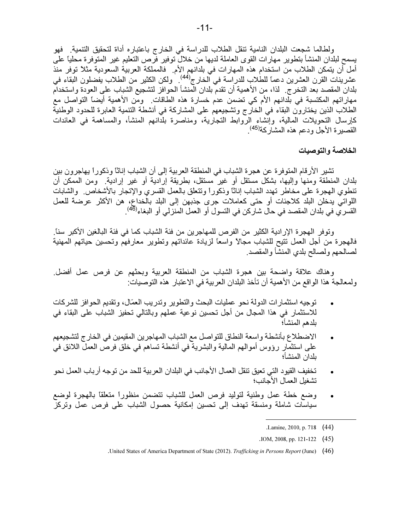ولطالما شجعت البلدان النامية تنقل الطلاب للدراسة في الخارج باعتباره أداة لتحقيق التنمية. فهو يسمح لبلدان المنشأ بتطوير مهارات القوى العاملة لديها من خلال توفير فرص التعليم غير المتوفرة محلياً على أمل أن يتمكن الطلاب من استخدام هذه المهار ات في بلدانهم الأم. فالمملكة العربية السعودية مثلاً توفر منذ -<br>عشرينات القرن العشرين دعما للطلاب للدراسة في الخارج<sup>(44)</sup>. ولكن الكثير من الطلاب يفضلون البقاء في بلدان المقصد بعد التخرج لذا، من الأهمية أن تقدم بلدان المنشأ الحوافز لتشجيع الشباب على العودة واستخدام مهاراتهم المكتسبة في بلدانهم الأم كي تضمن عدم خسارة هذه الطاقات. ومن الأهمية أيضاً التواصل مع الطلاب الذين يختارون البقاء في الخارج وتشجيعهم على المشاركة في أنشطة التنمية العابرة للحدود الوطنية كإرسال التحويلات المالية، وإنشاء الروابط التجارية، ومناصرة بلدانهم المنشأ، والمساهمة في العائدات القصيرة الأجل ودعم هذه المشاركة<sup>(45)</sup>.

الخلاصة والتوصيات

تشير الأرقام المتوفرة عن هجرة الشباب في المنطقة العربية إلى أن الشباب إناثًا وذكوراً بهاجرون بين بلدان المنطقة ومنها وإليها، بشكل مستقل أو ـغبر مستقل، بطريقة إر ادية أو ـغبر إر ادية ومن الممكن أن تنطوي الهجرة على مخاطر نهدد الشباب إناثًا وذكوراً وتتعلَّق بالعمل القسري والإتجار بالأشخاص. والشابات اللواتي يدخلن البلد كلاجئات أو حتى كعاملات جرى جذبهن إلى البلد بالخداع، هن الأكثر عرضة للعمل القسري في بلدان المقصد في حال شاركن في التسول أو العمل المنزلي أو البغاء<sup>(46)</sup>.

وتوفر الهجرة الإرادية الكثير من الفرص للمهاجرين من فئة الشباب كما في فئة البالغين الأكبر سناً. فالهجرة من أجل العمل تتيح للشباب مجالاً واسعاً لزيادة عائداتهم وتطوير معارفهم وتحسين حياتهم المهنية لصالحهم ولصالح بلدي المنشأ والمقصد.

وهناك علاقة واضحة بين هجرة الشباب من المنطقة العربية وبحثهم عن فرص عمل أفضل. ولمعالجة هذا الواقع من الأهمية أن تأخذ البلدان العربية في الاعتبار هذه التوصيات:

- توجيه استثمارات الدولة نحو عمليات البحث والتطوير وتدريب العمّال، وتقديم الحوافز للشركات للاستثمار في هذا المجال من أجل تحسين نوعية عملهم وبالتالي تحفيز الشباب على البقاء في بلدهم المنشأ؛
- الاضطلاع بأنشطة واسعة النطاق للتواصل مع الشباب المهاجرين المقيمين في الخارج لتشجيعهم على استثمار رؤوس أموالهم المالية والبشرية في أنشطة تساهم في خلق فرص العمل اللائق في بلدان المنشأ؛
- تخفيف القيود التي تعيق تنقل العمال الأجانب في البلدان العربية للحد من توجه أرباب العمل نحو  $\bullet$ تشغبل العمال الأجانب؛
- وضع خطة عمل وطنية لتوليد فرص العمل للشباب نتضمن منظورأ منعلقاً بالهجرة لوضع سياسات شاملة ومنسقة تهدف إلىي تحسين إمكانية حصول الشباب علىي فرص عمل وتركز

.IOM, 2008, pp. 121-122  $(45)$ 

Lamine, 2010, p. 718 (44)

United States of America Department of State (2012). Trafficking in Persons Report (June) (46).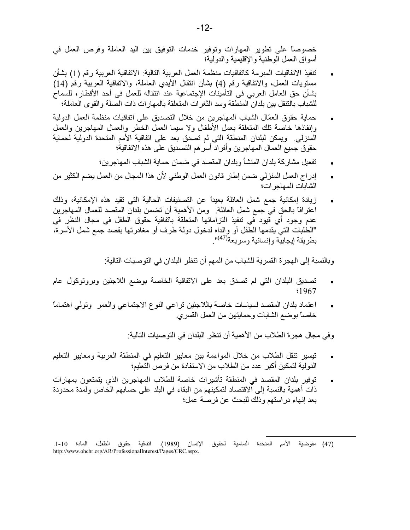خصوصاً على تطوير المهارات وتوفير خدمات التوفيق بين اليد العاملة وفرص العمل في أسو اق العمل الو طنية و الاقليمية و الدو لية؛

- تنفيذ الاتفاقيات المبر مة كاتفاقيات منظمة العمل العربية التالية: الاتفاقية العربية رقم (1) بشأن مستويات العمل، والاتفاقية رقم (4) بشأن انتقال الأيدي العاملة، والاتفاقية العربية رقم (14) بشأن حق العامل العربي في التأمينات الإجتماعية عند انتقاله للعمل في أحد الأقطار، للسماح للشباب بالتنقل بين بلدان المنطقة وسد الثغرات المتعلقة بالمهارات ذات الصلة والقوى العاملة؛
- حماية حقوق العمّال الشباب المهاجر بن من خلال التصديق على اتفاقيات منظمة العمل الدولية وإنفاذها خاصة نلك المتعلقة بعمل الأطفال ولا سيما العمل الخطر والعمال المهاجرين والعمل المنزلي. ويمكن لبلدان المنطقة التي لم تصدق بعد على اتفاقية الأمم المتحدة الدولية لحماية حقوق جميع العمال المهاجرين وأفراد أسر هم التصديق على هذه الاتفاقية؛
	- تفعيل مشاركة بلدان المنشأ وبلدان المقصد في ضمان حماية الشباب المهاجرين؛
- إدراج العمل المنزلي ضمن إطار قانون العمل الوطني لأن هذا المجال من العمل بضم الكثير من  $\bullet$ الشابات المهاجر ات؛
- زيادة إمكانية جمع شمل العائلة بعيداً عن التصنيفات الحالية التي تقيد هذه الإمكانية، وذلك اعترافًا بالحق في جمع شمل العائلة . ومن الأهمية أن تضمن بلدان المقصد للعمال المهاجرين عدم وجود أي قيود في تنفيذ التزاماتها المتعلقة باتفافية حقوق الطفل في مجال النظر في "الطلبات التي يقدمها الطفل أو والداه لدخول دولة طرف أو مغادرتها بقصد جمع شمل الأسرة، بطر بقة إيجابيَّة و إنسانية و سر يعة(<sup>47)</sup>".

وبالنسبة إلى الهجرة القسرية للشباب من المهم أن تنظر البلدان في التوصيات التالية:

- تصديق البلدان التي لم تصدق بعد على الاتفاقية الخاصة بوضع اللاجئين وبروتوكول عام  $\bullet$ \$1967
- اعتماد بلدان المقصد لسياسات خاصة باللاجئين تراعى النوع الاجتماعي والعمر وتولى اهتماما خاصـًا بوضـع الشـابـات وحمـايتـهن من الـعمل القسري.

وفي مجال هجرة الطلاب من الأهمية أن تنظر البلدان في التوصيات التالية:

- تيسير تنقل الطلاب من خلال المواءمة بين معايير التعليم في المنطقة العربية ومعايير التعليم  $\bullet$ الدولية لتمكين أكبر عدد من الطلاب من الاستفادة من فر ص التعليم؛
- توفير بلدان المقصد في المنطقة تأشيرات خاصة للطلاب المهاجرين الذي يتمتعون بمهارات ذات أهمية بالنسبة إلى آلاقتصاد لتمكينهم من البقاء في البلد على حسابهم الخاص ولمدة محدودة بعد إنهاء دراستهم وذلك للبحث عن فرصة عمل؛

<sup>(47)</sup> مفوضية الأمم المتحدة السامية لحقوق الإنسان (1989). اتفافية حقوق الطفل، المادة 10-1. http://www.ohchr.org/AR/ProfessionalInterest/Pages/CRC.aspx.